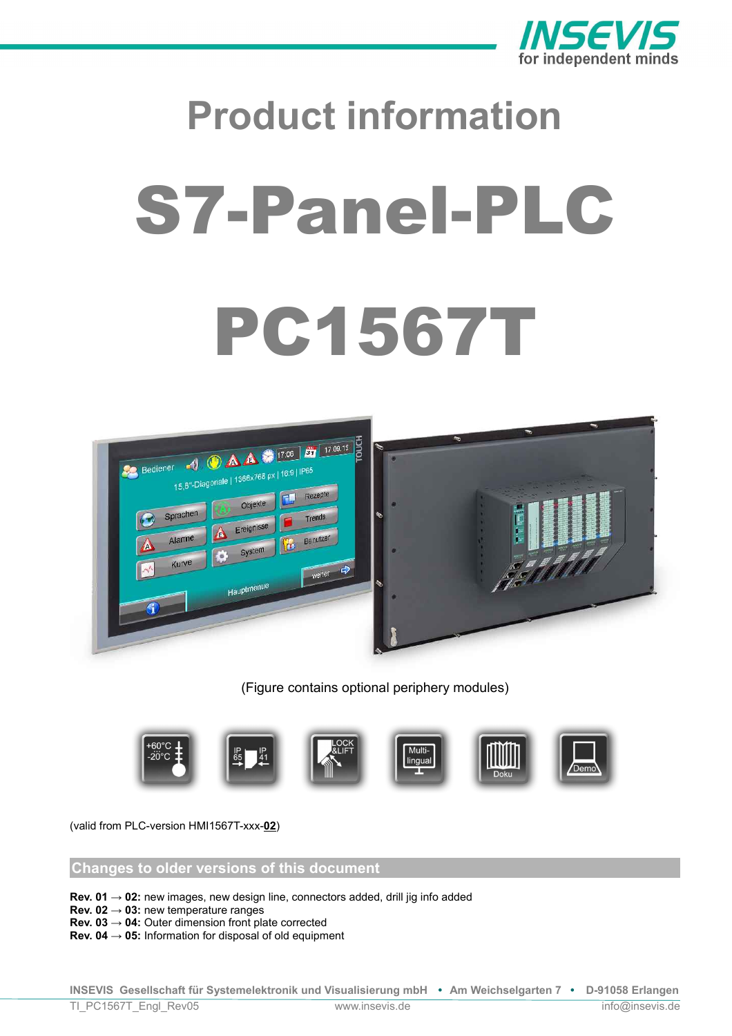

# **Product information** S7-Panel-PLC PC1567T



(Figure contains optional periphery modules)



(valid from PLC-version HMI1567T-xxx-**02**)

# **Changes to older versions of this document**

**Rev. 01 → 02:** new images, new design line, connectors added, drill jig info added

**Rev. 02 → 03:** new temperature ranges

**Rev. 03 → 04:** Outer dimension front plate corrected

**Rev. 04 → 05:** Information for disposal of old equipment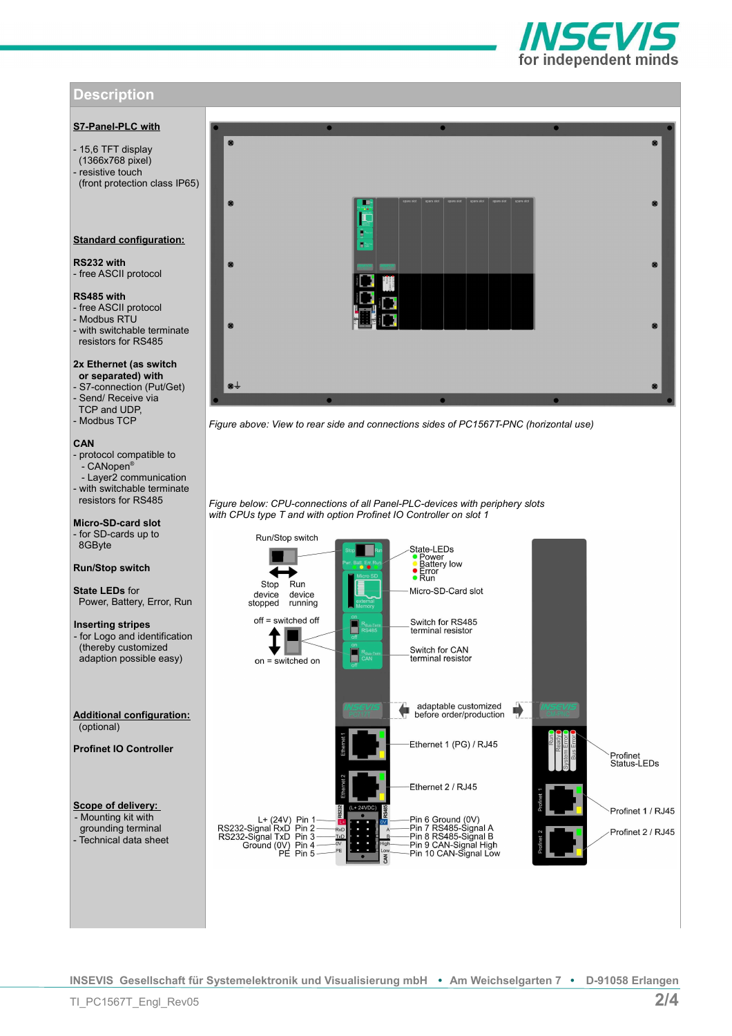# **Description**

# **S7-Panel-PLC with**

- 15,6 TFT display (1366x768 pixel) - resistive touch (front protection class IP65)

## **Standard configuration:**

**RS232 with** - free ASCII protocol

## **RS485 with**

- free ASCII protocol - Modbus RTU - with switchable terminate resistors for RS485

**2x Ethernet (as switch or separated) with** - S7-connection (Put/Get) - Send/ Receive via TCP and UDP, - Modbus TCP

## **CAN**

- protocol compatible to .<br>- CANopen® - Layer2 communication - with switchable terminate resistors for RS485

**Micro-SD-card slot** - for SD-cards up to 8GByte

## **Run/Stop switch**

**State LEDs** for Power, Battery, Error, Run

**Inserting stripes**  - for Logo and identification (thereby customized adaption possible easy)

**Additional configuration:** (optional)

**Profinet IO Controller**

**Scope of delivery:**  - Mounting kit with grounding terminal - Technical data sheet



*Figure above: View to rear side and connections sides of PC1567T-PNC (horizontal use)*

*Figure below: CPU-connections of all Panel-PLC-devices with periphery slots with CPUs type T and with option Profinet IO Controller on slot 1*



**INSEVIS Gesellschaft für Systemelektronik und Visualisierung mbH • Am Weichselgarten 7 • D-91058 Erlangen**

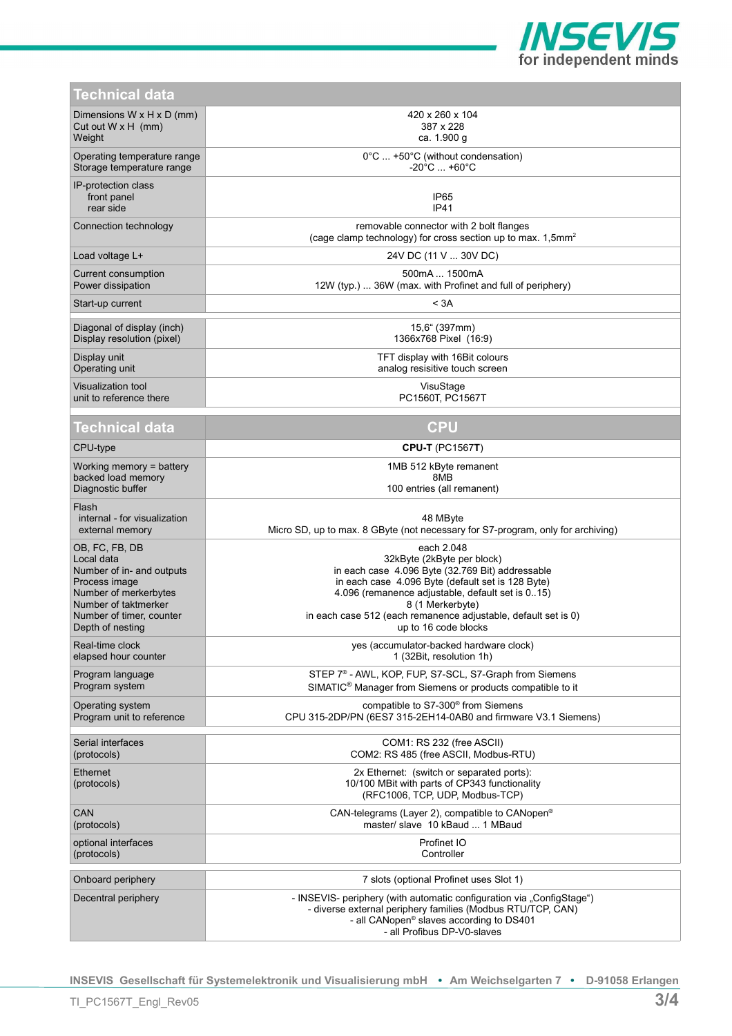

| Technical data                                           |                                                                                                                                                                                                                             |
|----------------------------------------------------------|-----------------------------------------------------------------------------------------------------------------------------------------------------------------------------------------------------------------------------|
| Dimensions $W \times H \times D$ (mm)                    | 420 x 260 x 104                                                                                                                                                                                                             |
| Cut out $W \times H$ (mm)                                | 387 x 228                                                                                                                                                                                                                   |
| Weight                                                   | ca. 1.900 g                                                                                                                                                                                                                 |
| Operating temperature range                              | $0^{\circ}$ C  +50 $^{\circ}$ C (without condensation)                                                                                                                                                                      |
| Storage temperature range                                | $-20^{\circ}$ C $+60^{\circ}$ C                                                                                                                                                                                             |
| IP-protection class<br>front panel<br>rear side          | IP <sub>65</sub><br>IP41                                                                                                                                                                                                    |
| Connection technology                                    | removable connector with 2 bolt flanges<br>(cage clamp technology) for cross section up to max. 1,5mm <sup>2</sup>                                                                                                          |
| Load voltage L+                                          | 24V DC (11 V  30V DC)                                                                                                                                                                                                       |
| Current consumption                                      | 500mA  1500mA                                                                                                                                                                                                               |
| Power dissipation                                        | 12W (typ.)  36W (max. with Profinet and full of periphery)                                                                                                                                                                  |
| Start-up current                                         | < 3A                                                                                                                                                                                                                        |
| Diagonal of display (inch)                               | 15,6" (397mm)                                                                                                                                                                                                               |
| Display resolution (pixel)                               | 1366x768 Pixel (16:9)                                                                                                                                                                                                       |
| Display unit                                             | TFT display with 16Bit colours                                                                                                                                                                                              |
| Operating unit                                           | analog resisitive touch screen                                                                                                                                                                                              |
| Visualization tool                                       | VisuStage                                                                                                                                                                                                                   |
| unit to reference there                                  | PC1560T, PC1567T                                                                                                                                                                                                            |
| Technical data                                           | <b>CPU</b>                                                                                                                                                                                                                  |
| CPU-type                                                 | <b>CPU-T</b> (PC1567T)                                                                                                                                                                                                      |
| Working memory $=$ battery                               | 1MB 512 kByte remanent                                                                                                                                                                                                      |
| backed load memory                                       | 8MB                                                                                                                                                                                                                         |
| Diagnostic buffer                                        | 100 entries (all remanent)                                                                                                                                                                                                  |
| Flash<br>internal - for visualization<br>external memory | 48 MByte<br>Micro SD, up to max. 8 GByte (not necessary for S7-program, only for archiving)                                                                                                                                 |
| OB, FC, FB, DB                                           | each 2.048                                                                                                                                                                                                                  |
| Local data                                               | 32kByte (2kByte per block)                                                                                                                                                                                                  |
| Number of in- and outputs                                | in each case 4.096 Byte (32.769 Bit) addressable                                                                                                                                                                            |
| Process image                                            | in each case 4.096 Byte (default set is 128 Byte)                                                                                                                                                                           |
| Number of merkerbytes                                    | 4.096 (remanence adjustable, default set is 015)                                                                                                                                                                            |
| Number of taktmerker                                     | 8 (1 Merkerbyte)                                                                                                                                                                                                            |
| Number of timer, counter                                 | in each case 512 (each remanence adjustable, default set is 0)                                                                                                                                                              |
| Depth of nesting                                         | up to 16 code blocks                                                                                                                                                                                                        |
| Real-time clock                                          | yes (accumulator-backed hardware clock)                                                                                                                                                                                     |
| elapsed hour counter                                     | 1 (32Bit, resolution 1h)                                                                                                                                                                                                    |
| Program language                                         | STEP 7 <sup>®</sup> - AWL, KOP, FUP, S7-SCL, S7-Graph from Siemens                                                                                                                                                          |
| Program system                                           | SIMATIC <sup>®</sup> Manager from Siemens or products compatible to it                                                                                                                                                      |
| Operating system                                         | compatible to S7-300 <sup>®</sup> from Siemens                                                                                                                                                                              |
| Program unit to reference                                | CPU 315-2DP/PN (6ES7 315-2EH14-0AB0 and firmware V3.1 Siemens)                                                                                                                                                              |
| Serial interfaces                                        | COM1: RS 232 (free ASCII)                                                                                                                                                                                                   |
| (protocols)                                              | COM2: RS 485 (free ASCII, Modbus-RTU)                                                                                                                                                                                       |
| Ethernet<br>(protocols)                                  | 2x Ethernet: (switch or separated ports):<br>10/100 MBit with parts of CP343 functionality<br>(RFC1006, TCP, UDP, Modbus-TCP)                                                                                               |
| CAN                                                      | CAN-telegrams (Layer 2), compatible to CANopen <sup>®</sup>                                                                                                                                                                 |
| (protocols)                                              | master/ slave 10 kBaud  1 MBaud                                                                                                                                                                                             |
| optional interfaces                                      | Profinet IO                                                                                                                                                                                                                 |
| (protocols)                                              | Controller                                                                                                                                                                                                                  |
| Onboard periphery                                        | 7 slots (optional Profinet uses Slot 1)                                                                                                                                                                                     |
| Decentral periphery                                      | - INSEVIS- periphery (with automatic configuration via "ConfigStage")<br>- diverse external periphery families (Modbus RTU/TCP, CAN)<br>- all CANopen <sup>®</sup> slaves according to DS401<br>- all Profibus DP-V0-slaves |

**INSEVIS Gesellschaft für Systemelektronik und Visualisierung mbH • Am Weichselgarten 7 • D-91058 Erlangen**